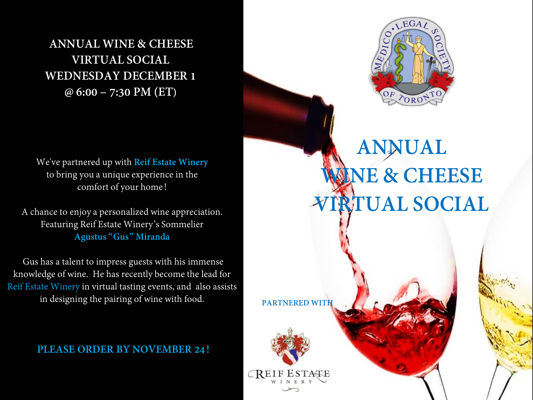**ANNUAL WINE & CHEESE VIRTUAL SOCIAL WEDNESDAY DECEMBER 1 @ 6:00 – 7:30 PM (ET)**

We've partnered up with **Reif Estate Winery** to bring you a unique experience in the comfort of your home!

A chance to enjoy a personalized wine appreciation. Featuring Reif Estate Winery's Sommelier **Agustus "Gus" Miranda**

Gus has a talent to impress guests with his immense knowledge of wine. He has recently become the lead for Reif Estate Winery in virtual tasting events, and also assists in designing the pairing of wine with food.

**PLEASE ORDER BY NOVEMBER 24!** 



# **ANNUAL WINE & CHEESE RTUAL SOCIAL**

**PARTNERED WITH**